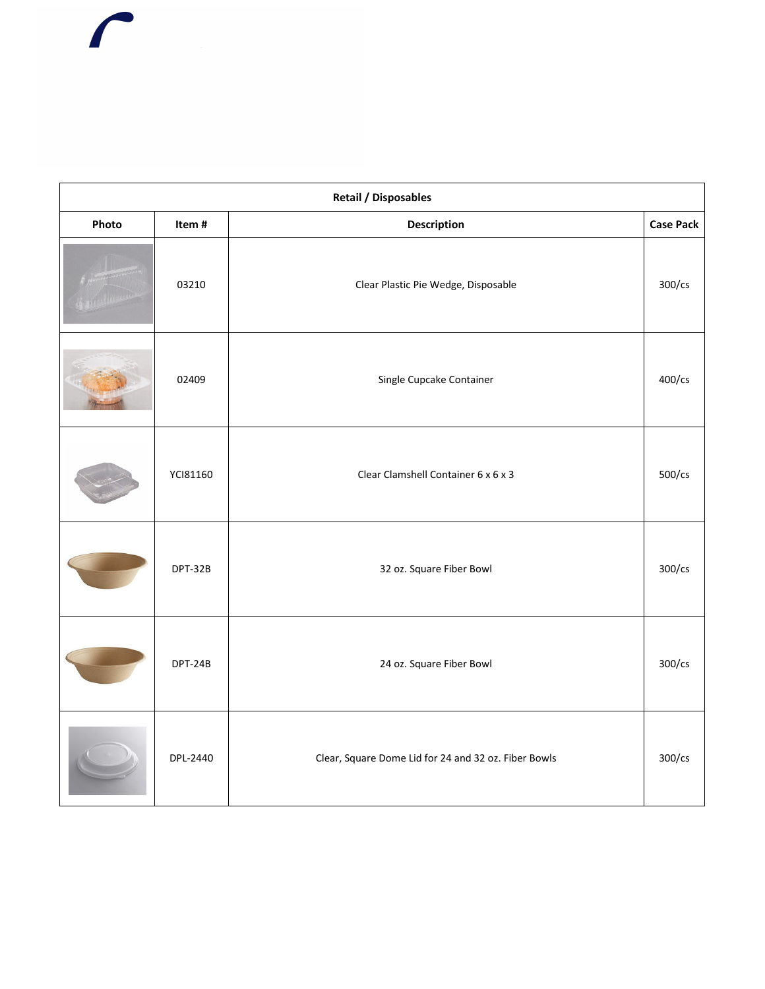| <b>Retail / Disposables</b> |          |                                                      |                  |
|-----------------------------|----------|------------------------------------------------------|------------------|
| Photo                       | Item#    | Description                                          | <b>Case Pack</b> |
|                             | 03210    | Clear Plastic Pie Wedge, Disposable                  | 300/cs           |
|                             | 02409    | Single Cupcake Container                             | 400/cs           |
|                             | YCI81160 | Clear Clamshell Container 6 x 6 x 3                  | 500/cs           |
|                             | DPT-32B  | 32 oz. Square Fiber Bowl                             | 300/cs           |
|                             | DPT-24B  | 24 oz. Square Fiber Bowl                             | 300/cs           |
|                             | DPL-2440 | Clear, Square Dome Lid for 24 and 32 oz. Fiber Bowls | 300/cs           |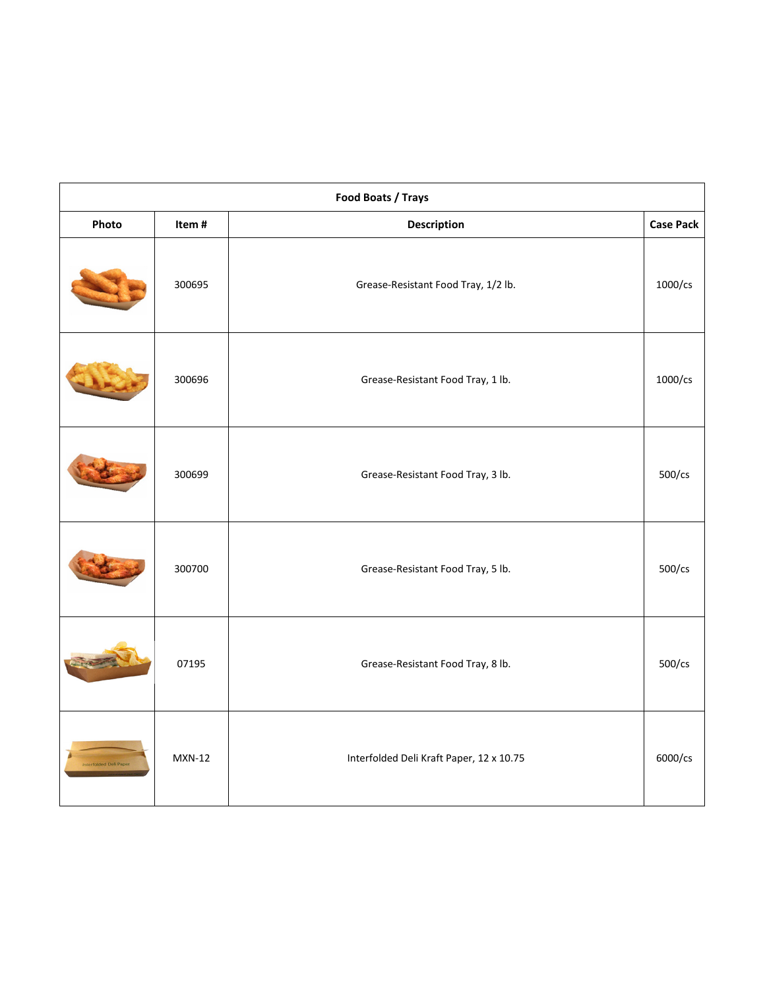| Food Boats / Trays |               |                                          |                  |
|--------------------|---------------|------------------------------------------|------------------|
| Photo              | Item#         | <b>Description</b>                       | <b>Case Pack</b> |
|                    | 300695        | Grease-Resistant Food Tray, 1/2 lb.      | 1000/cs          |
|                    | 300696        | Grease-Resistant Food Tray, 1 lb.        | 1000/cs          |
|                    | 300699        | Grease-Resistant Food Tray, 3 lb.        | 500/cs           |
|                    | 300700        | Grease-Resistant Food Tray, 5 lb.        | $500$ /cs        |
|                    | 07195         | Grease-Resistant Food Tray, 8 lb.        | 500/cs           |
| ed Deli Pap        | <b>MXN-12</b> | Interfolded Deli Kraft Paper, 12 x 10.75 | 6000/cs          |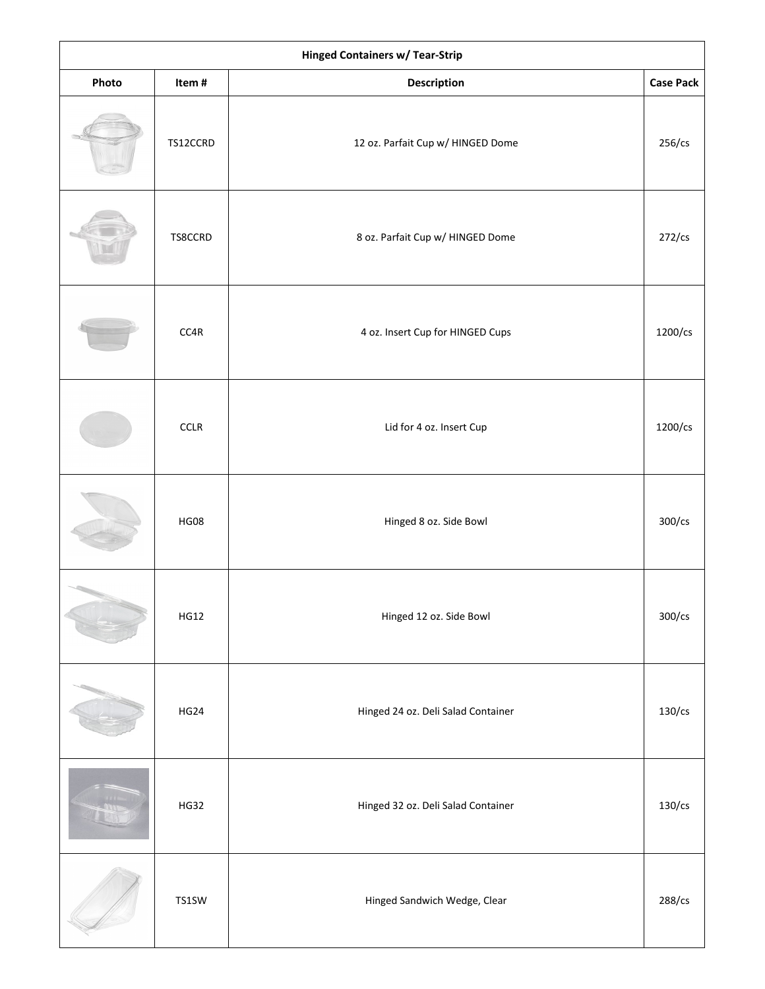| <b>Hinged Containers w/ Tear-Strip</b> |             |                                    |                  |
|----------------------------------------|-------------|------------------------------------|------------------|
| Photo                                  | Item#       | Description                        | <b>Case Pack</b> |
|                                        | TS12CCRD    | 12 oz. Parfait Cup w/ HINGED Dome  | 256/cs           |
|                                        | TS8CCRD     | 8 oz. Parfait Cup w/ HINGED Dome   | $272$ /cs        |
|                                        | CC4R        | 4 oz. Insert Cup for HINGED Cups   | 1200/cs          |
|                                        | CCLR        | Lid for 4 oz. Insert Cup           | 1200/cs          |
|                                        | <b>HG08</b> | Hinged 8 oz. Side Bowl             | 300/cs           |
|                                        | <b>HG12</b> | Hinged 12 oz. Side Bowl            | 300/cs           |
|                                        | HG24        | Hinged 24 oz. Deli Salad Container | $130$ /cs        |
|                                        | <b>HG32</b> | Hinged 32 oz. Deli Salad Container | $130$ /cs        |
|                                        | TS1SW       | Hinged Sandwich Wedge, Clear       | 288/cs           |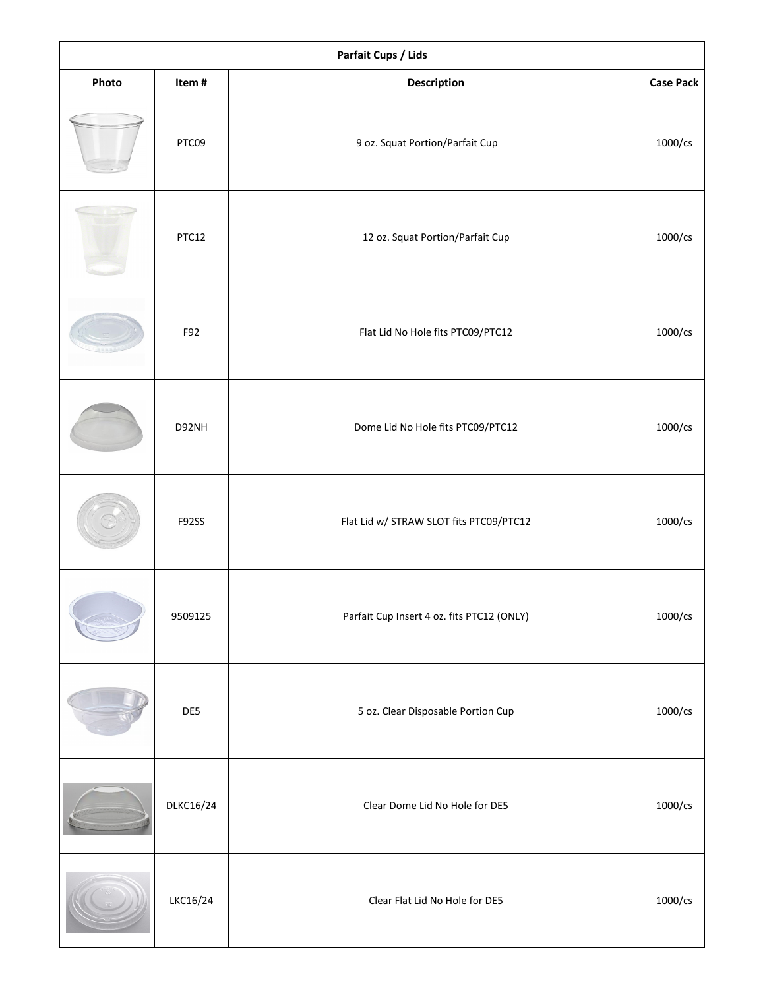| Parfait Cups / Lids |              |                                            |                  |
|---------------------|--------------|--------------------------------------------|------------------|
| Photo               | Item#        | Description                                | <b>Case Pack</b> |
|                     | PTC09        | 9 oz. Squat Portion/Parfait Cup            | 1000/cs          |
|                     | PTC12        | 12 oz. Squat Portion/Parfait Cup           | 1000/cs          |
|                     | F92          | Flat Lid No Hole fits PTC09/PTC12          | 1000/cs          |
|                     | D92NH        | Dome Lid No Hole fits PTC09/PTC12          | 1000/cs          |
|                     | <b>F92SS</b> | Flat Lid w/ STRAW SLOT fits PTC09/PTC12    | 1000/cs          |
|                     | 9509125      | Parfait Cup Insert 4 oz. fits PTC12 (ONLY) | 1000/cs          |
|                     | DE5          | 5 oz. Clear Disposable Portion Cup         | 1000/cs          |
|                     | DLKC16/24    | Clear Dome Lid No Hole for DE5             | 1000/cs          |
|                     | LKC16/24     | Clear Flat Lid No Hole for DE5             | 1000/cs          |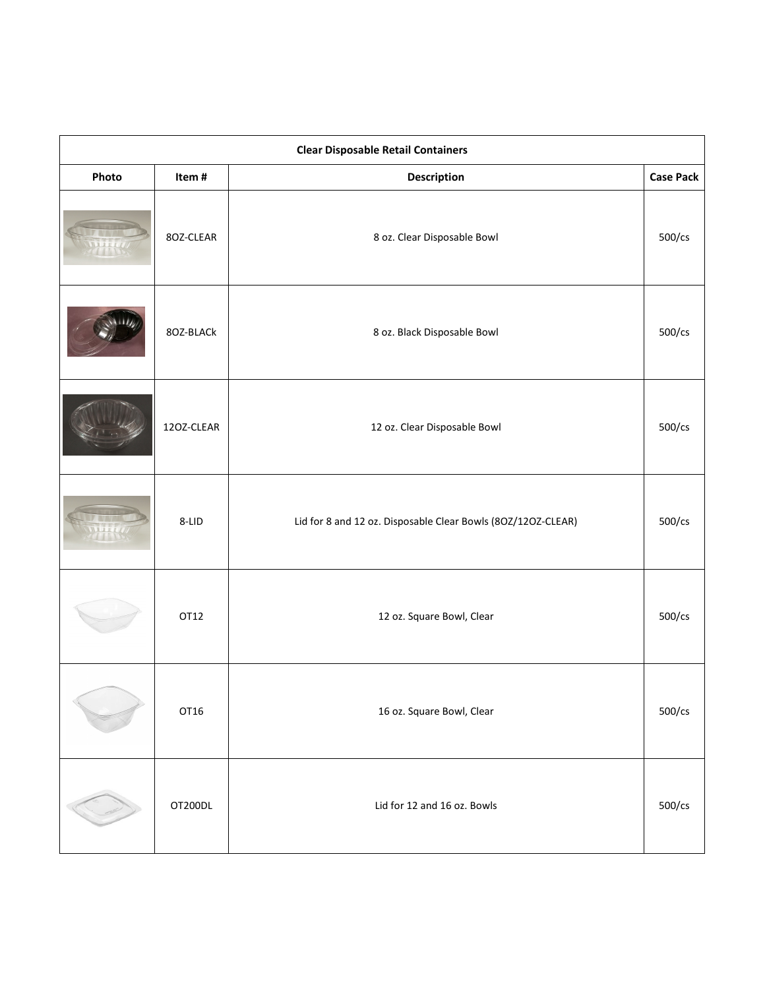| <b>Clear Disposable Retail Containers</b> |            |                                                              |                  |
|-------------------------------------------|------------|--------------------------------------------------------------|------------------|
| Photo                                     | Item#      | Description                                                  | <b>Case Pack</b> |
|                                           | 8OZ-CLEAR  | 8 oz. Clear Disposable Bowl                                  | 500/cs           |
|                                           | 8OZ-BLACk  | 8 oz. Black Disposable Bowl                                  | $500$ /cs        |
|                                           | 12OZ-CLEAR | 12 oz. Clear Disposable Bowl                                 | 500/cs           |
|                                           | 8-LID      | Lid for 8 and 12 oz. Disposable Clear Bowls (80Z/12OZ-CLEAR) | 500/cs           |
|                                           | OT12       | 12 oz. Square Bowl, Clear                                    | 500/cs           |
|                                           | OT16       | 16 oz. Square Bowl, Clear                                    | $500$ /cs        |
|                                           | OT200DL    | Lid for 12 and 16 oz. Bowls                                  | $500$ /cs        |